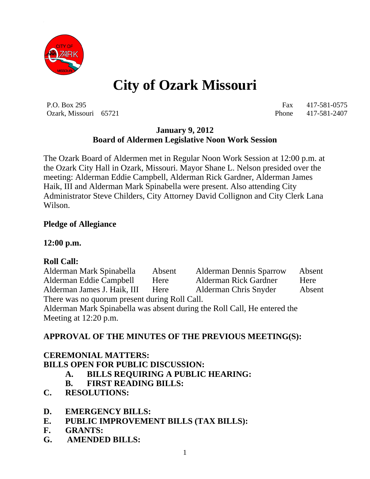

# **City of Ozark Missouri**

P.O. Box 295 Fax 417-581-0575 Ozark, Missouri 65721 Phone 417-581-2407

#### **January 9, 2012 Board of Aldermen Legislative Noon Work Session**

The Ozark Board of Aldermen met in Regular Noon Work Session at 12:00 p.m. at the Ozark City Hall in Ozark, Missouri. Mayor Shane L. Nelson presided over the meeting: Alderman Eddie Campbell, Alderman Rick Gardner, Alderman James Haik, III and Alderman Mark Spinabella were present. Also attending City Administrator Steve Childers, City Attorney David Collignon and City Clerk Lana Wilson.

#### **Pledge of Allegiance**

#### **12:00 p.m.**

#### **Roll Call:**

Alderman Mark Spinabella Absent Alderman Dennis Sparrow Absent Alderman Eddie Campbell Here Alderman Rick Gardner Here Alderman James J. Haik, III Here Alderman Chris Snyder Absent There was no quorum present during Roll Call. Alderman Mark Spinabella was absent during the Roll Call, He entered the Meeting at 12:20 p.m.

#### **APPROVAL OF THE MINUTES OF THE PREVIOUS MEETING(S):**

### **CEREMONIAL MATTERS: BILLS OPEN FOR PUBLIC DISCUSSION:**

- **A. BILLS REQUIRING A PUBLIC HEARING:**
- **B. FIRST READING BILLS:**
- **C. RESOLUTIONS:**
- **D. EMERGENCY BILLS:**
- **E. PUBLIC IMPROVEMENT BILLS (TAX BILLS):**
- **F. GRANTS:**
- **G. AMENDED BILLS:**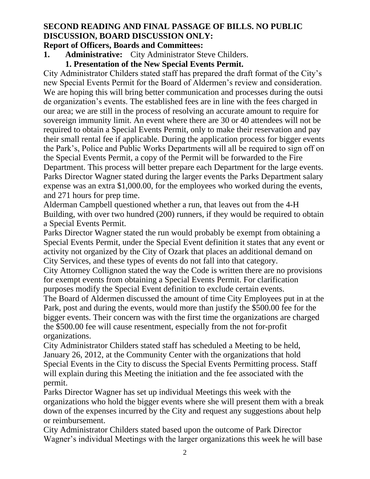# **SECOND READING AND FINAL PASSAGE OF BILLS. NO PUBLIC DISCUSSION, BOARD DISCUSSION ONLY:**

# **Report of Officers, Boards and Committees:**

- **1. Administrative:** City Administrator Steve Childers.
	- **1. Presentation of the New Special Events Permit.**

City Administrator Childers stated staff has prepared the draft format of the City's new Special Events Permit for the Board of Aldermen's review and consideration. We are hoping this will bring better communication and processes during the outsi de organization's events. The established fees are in line with the fees charged in our area; we are still in the process of resolving an accurate amount to require for sovereign immunity limit. An event where there are 30 or 40 attendees will not be required to obtain a Special Events Permit, only to make their reservation and pay their small rental fee if applicable. During the application process for bigger events the Park's, Police and Public Works Departments will all be required to sign off on the Special Events Permit, a copy of the Permit will be forwarded to the Fire Department. This process will better prepare each Department for the large events. Parks Director Wagner stated during the larger events the Parks Department salary expense was an extra \$1,000.00, for the employees who worked during the events, and 271 hours for prep time.

Alderman Campbell questioned whether a run, that leaves out from the 4-H Building, with over two hundred (200) runners, if they would be required to obtain a Special Events Permit.

Parks Director Wagner stated the run would probably be exempt from obtaining a Special Events Permit, under the Special Event definition it states that any event or activity not organized by the City of Ozark that places an additional demand on City Services, and these types of events do not fall into that category.

City Attorney Collignon stated the way the Code is written there are no provisions for exempt events from obtaining a Special Events Permit. For clarification purposes modify the Special Event definition to exclude certain events.

The Board of Aldermen discussed the amount of time City Employees put in at the Park, post and during the events, would more than justify the \$500.00 fee for the bigger events. Their concern was with the first time the organizations are charged the \$500.00 fee will cause resentment, especially from the not for-profit organizations.

City Administrator Childers stated staff has scheduled a Meeting to be held, January 26, 2012, at the Community Center with the organizations that hold Special Events in the City to discuss the Special Events Permitting process. Staff will explain during this Meeting the initiation and the fee associated with the permit.

Parks Director Wagner has set up individual Meetings this week with the organizations who hold the bigger events where she will present them with a break down of the expenses incurred by the City and request any suggestions about help or reimbursement.

City Administrator Childers stated based upon the outcome of Park Director Wagner's individual Meetings with the larger organizations this week he will base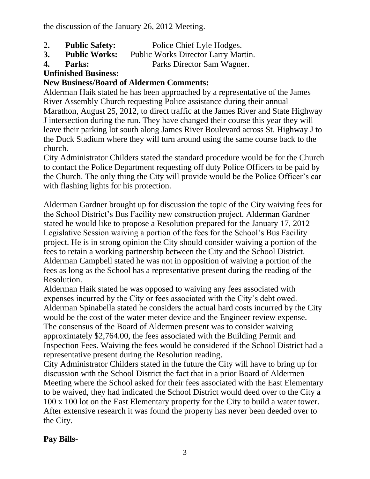the discussion of the January 26, 2012 Meeting.

- 2**. Public Safety:** Police Chief Lyle Hodges.
- **3. Public Works:** Public Works Director Larry Martin.
- **4. Parks:** Parks Director Sam Wagner.

# **Unfinished Business:**

# **New Business/Board of Aldermen Comments:**

Alderman Haik stated he has been approached by a representative of the James River Assembly Church requesting Police assistance during their annual Marathon, August 25, 2012, to direct traffic at the James River and State Highway J intersection during the run. They have changed their course this year they will leave their parking lot south along James River Boulevard across St. Highway J to the Duck Stadium where they will turn around using the same course back to the church.

City Administrator Childers stated the standard procedure would be for the Church to contact the Police Department requesting off duty Police Officers to be paid by the Church. The only thing the City will provide would be the Police Officer's car with flashing lights for his protection.

Alderman Gardner brought up for discussion the topic of the City waiving fees for the School District's Bus Facility new construction project. Alderman Gardner stated he would like to propose a Resolution prepared for the January 17, 2012 Legislative Session waiving a portion of the fees for the School's Bus Facility project. He is in strong opinion the City should consider waiving a portion of the fees to retain a working partnership between the City and the School District. Alderman Campbell stated he was not in opposition of waiving a portion of the fees as long as the School has a representative present during the reading of the Resolution.

Alderman Haik stated he was opposed to waiving any fees associated with expenses incurred by the City or fees associated with the City's debt owed. Alderman Spinabella stated he considers the actual hard costs incurred by the City would be the cost of the water meter device and the Engineer review expense. The consensus of the Board of Aldermen present was to consider waiving approximately \$2,764.00, the fees associated with the Building Permit and Inspection Fees. Waiving the fees would be considered if the School District had a representative present during the Resolution reading.

City Administrator Childers stated in the future the City will have to bring up for discussion with the School District the fact that in a prior Board of Aldermen Meeting where the School asked for their fees associated with the East Elementary to be waived, they had indicated the School District would deed over to the City a 100 x 100 lot on the East Elementary property for the City to build a water tower. After extensive research it was found the property has never been deeded over to the City.

# **Pay Bills-**